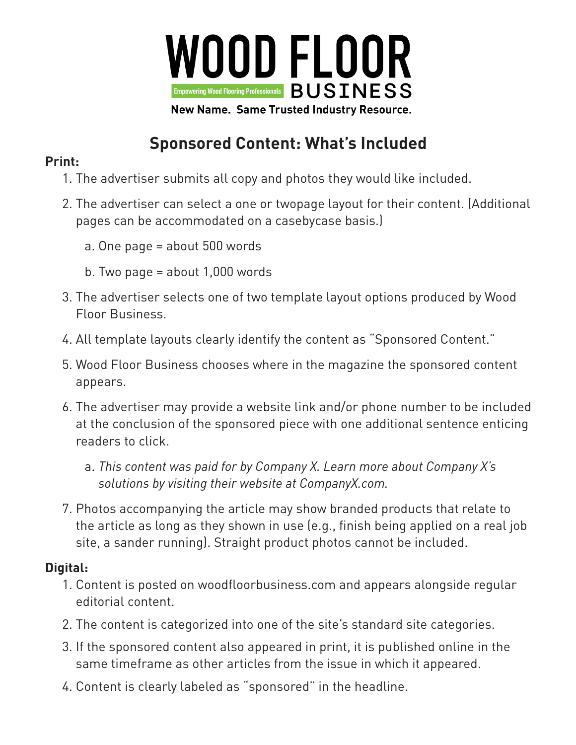

## **Sponsored Content: What's Included**

## **Print:**

- 1. The advertiser submits all copy and photos they would like included.
- 2. The advertiser can select a one or twopage layout for their content. (Additional pages can be accommodated on a casebycase basis.)
	- a. One page = about 500 words
	- b. Two page = about 1,000 words
- 3. The advertiser selects one of two template layout options produced by Wood Floor Business.
- 4. All template layouts clearly identify the content as "Sponsored Content."
- 5. Wood Floor Business chooses where in the magazine the sponsored content appears.
- 6. The advertiser may provide a website link and/or phone number to be included at the conclusion of the sponsored piece with one additional sentence enticing readers to click.
	- a. *This content was paid for by Company X. Learn more about Company X's solutions by visiting their website at CompanyX.com.*
- 7. Photos accompanying the article may show branded products that relate to the article as long as they shown in use (e.g., finish being applied on a real job site, a sander running). Straight product photos cannot be included.

## **Digital:**

- 1. Content is posted on woodfloorbusiness.com and appears alongside regular editorial content.
- 2. The content is categorized into one of the site's standard site categories.
- 3. If the sponsored content also appeared in print, it is published online in the same timeframe as other articles from the issue in which it appeared.
- 4. Content is clearly labeled as "sponsored" in the headline.